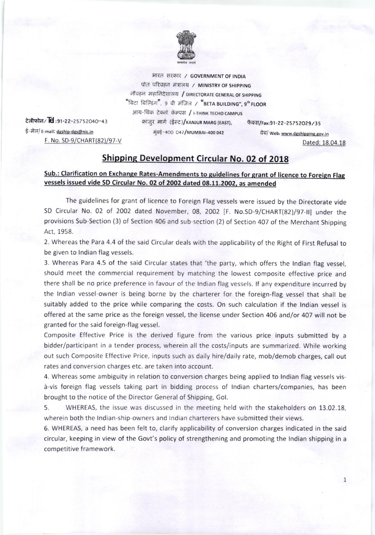

भारत सरकार / GOVERNMENT OF INDIA पोत परिवहन मंत्रालय / MINISTRY OF SHIPPING नौवहन महानिदेशालय / DIRECTORATE GENERAL OF SHIPPING "बिटा बिल्डिंग", 9 वी मंजिल / "BETA BUILDING", 9<sup>th</sup>FLOOR आय-थिंक टेक्नो कॅम्पस / I-THINK TECHO CAMPUS कांजुर मार्ग (ईस्ट)/каліцк макс (EAST), केक्स/Fax:91-22-25752029/35

टेलीफोन/ $\overline{\text{Id}}$ :91-22-25752040-43 ई-मेल/ E-mail: dgship-dgs@nic.in F. No. SD-9/CHART(82)/97-V मुंबई-400 042/MUMBAI-400 042<br>वैब/ Web: www.dgshipping.gov.in Dated: 18.04.18

## **Shipping Development Circular No. 02 of 2018**

## Sub.: Clarification on Exchange Rates-Amendments to guidelines for grant of licence to Foreign Flag vessels issued vide SD Circular No. 02 of 2002 dated 08.11.2002, as amended

The guidelines for grant of licence to Foreign Flag vessels were issued by the Directorate vide SD Circular No. 02 of 2002 dated November, 08, 2002 [F. No.SD-9/CHART(82)/97-II] under the provisions Sub-Section (3) of Section 406 and sub-section (2) of Section 407 of the Merchant Shipping Act, 1958.

2. Whereas the Para 4.4 of the said Circular deals with the applicability of the Right of First Refusal to be given to lndian flag vessels.

3. Whereas Para 4.5 of the said Circular states that'the party, which offers the lndian flag vessel, should meet the commercial requirement by matching the lowest composite effective price and there shall be no price preference in favour of the lndian flag vessels. lf any expenditure incurred by the lndian vessel-owner is being borne by the charterer for the foreign-flag vessel that shall be suitably added to the price while comparing the costs. On such calculation if the lndian vessel is offered at the same price as the foreign vessel, the license under Section 406 and/or 407 will not be granted for the said foreign-flag vessel.

Composite Effective Price is the derived figure from the various price inputs submitted by <sup>a</sup> bidder/participant in a tender process, wherein all the costs/inputs are summarized. While working out such Composite Effective Price, inputs such as daily hire/daily rate, mob/demob charges, call out rates and conversion charges etc. are taken into account.

4. Whereas some ambiguity in relation to conversion charges being applied to lndian flag vessels visd-vis foreign flag vessels taking part in bidding process of lndian charters/companies, has been brought to the notice of the Director General of Shipping, Gol.

5. WHEREAS, the issue was discussed in the meeting held with the stakeholders on 13.02.18, wherein both the Indian-ship-owners and Indian charterers have submitted their views.

6. WHEREAS, a need has been felt to, clarify applicability of conversion charges indicated in the said circular, keeping in view of the Govt's policy of strengthening and promoting the lndian shipping in <sup>a</sup> competitive framework.